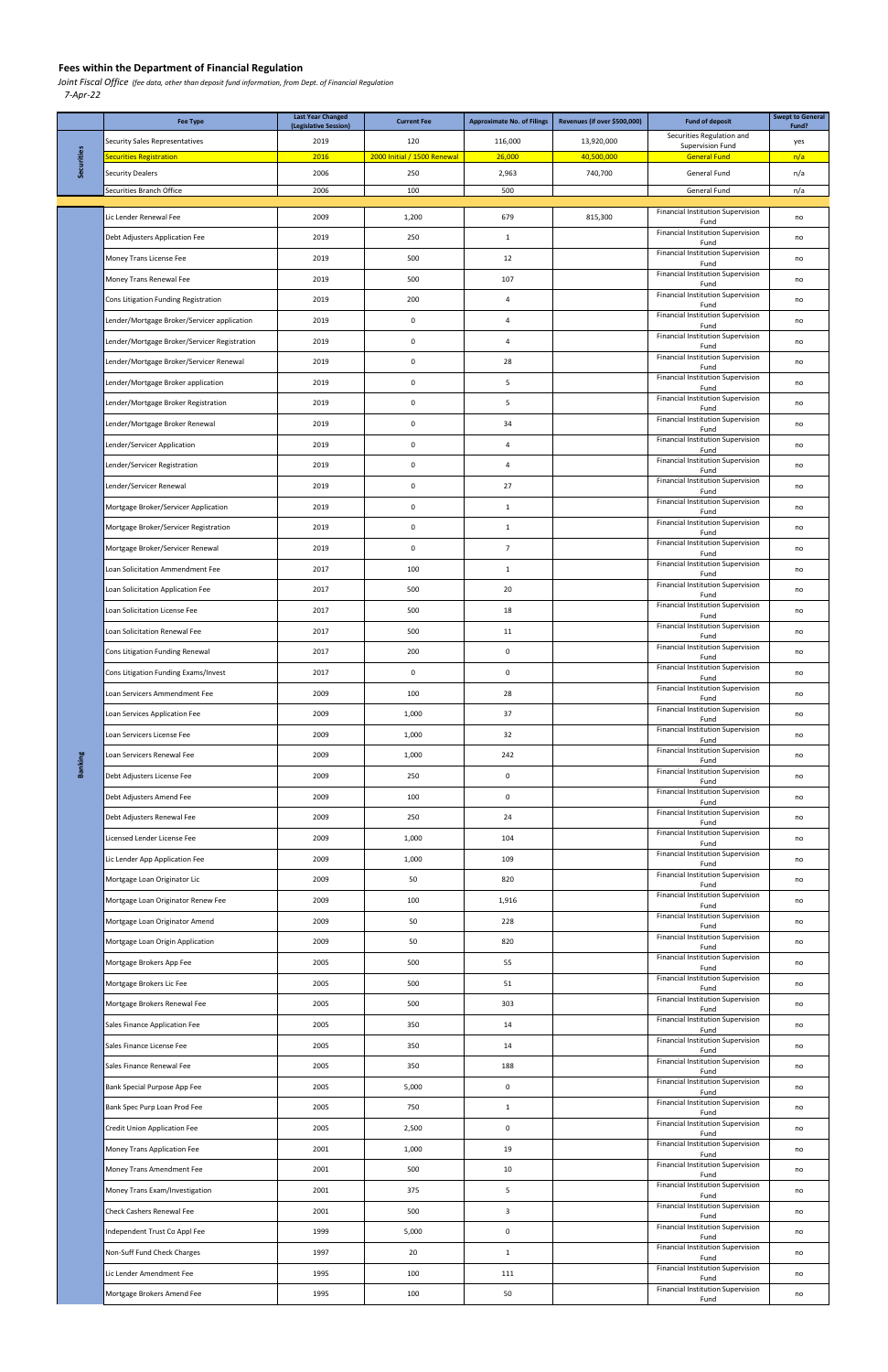Joint Fiscal Office (fee data, other than deposit fund information, from Dept. of Financial Regulation

7-Apr-22

|                | <b>Fee Type</b>                                     | <b>Last Year Changed</b><br>(Legislative Session) | <b>Current Fee</b>          | <b>Approximate No. of Filings</b> | Revenues (if over \$500,000) | <b>Fund of deposit</b>                           | <b>Swept to General</b><br>Fund? |
|----------------|-----------------------------------------------------|---------------------------------------------------|-----------------------------|-----------------------------------|------------------------------|--------------------------------------------------|----------------------------------|
| Securities     | Security Sales Representatives                      | 2019                                              | 120                         | 116,000                           | 13,920,000                   | Securities Regulation and<br>Supervision Fund    | yes                              |
|                | Securities Registration                             | 2016                                              | 2000 Initial / 1500 Renewal | 26,000                            | 40,500,000                   | <b>General Fund</b>                              | n/a                              |
|                | <b>Security Dealers</b><br>Securities Branch Office | 2006<br>2006                                      | 250<br>100                  | 2,963<br>500                      | 740,700                      | General Fund<br>General Fund                     | n/a<br>n/a                       |
|                |                                                     |                                                   |                             |                                   |                              |                                                  |                                  |
|                | Lic Lender Renewal Fee                              | 2009                                              | 1,200                       | 679                               | 815,300                      | Financial Institution Supervision<br>Fund        | no                               |
|                | Debt Adjusters Application Fee                      | 2019                                              | 250                         | $\mathbf{1}$                      |                              | Financial Institution Supervision<br>Fund        | no                               |
|                | Money Trans License Fee                             | 2019                                              | 500                         | 12                                |                              | <b>Financial Institution Supervision</b><br>Fund | no                               |
|                | Money Trans Renewal Fee                             | 2019                                              | 500                         | 107                               |                              | <b>Financial Institution Supervision</b><br>Fund | no                               |
|                | Cons Litigation Funding Registration                | 2019                                              | 200                         | $\overline{4}$                    |                              | <b>Financial Institution Supervision</b><br>Fund | no                               |
|                | Lender/Mortgage Broker/Servicer application         | 2019                                              | 0                           | 4                                 |                              | Financial Institution Supervision<br>Fund        | no                               |
|                | Lender/Mortgage Broker/Servicer Registration        | 2019                                              | 0                           | $\overline{4}$                    |                              | Financial Institution Supervision<br>Fund        | no                               |
|                | Lender/Mortgage Broker/Servicer Renewal             | 2019                                              | $\pmb{0}$                   | 28                                |                              | Financial Institution Supervision<br>Fund        | no                               |
|                | Lender/Mortgage Broker application                  | 2019                                              | $\pmb{0}$                   | 5                                 |                              | Financial Institution Supervision<br>Fund        | no                               |
|                | Lender/Mortgage Broker Registration                 | 2019                                              | 0                           | 5                                 |                              | <b>Financial Institution Supervision</b><br>Fund | no                               |
|                | Lender/Mortgage Broker Renewal                      | 2019                                              | $\pmb{0}$                   | 34                                |                              | Financial Institution Supervision<br>Fund        | no                               |
|                | Lender/Servicer Application                         | 2019                                              | 0                           | $\overline{4}$                    |                              | <b>Financial Institution Supervision</b><br>Fund | no                               |
|                | Lender/Servicer Registration                        | 2019                                              | 0                           | $\overline{4}$                    |                              | Financial Institution Supervision                | no                               |
|                | Lender/Servicer Renewal                             | 2019                                              | 0                           | 27                                |                              | Fund<br><b>Financial Institution Supervision</b> | no                               |
|                | Mortgage Broker/Servicer Application                | 2019                                              | $\pmb{0}$                   | $\mathbf{1}$                      |                              | Fund<br>Financial Institution Supervision        | no                               |
|                | Mortgage Broker/Servicer Registration               | 2019                                              | 0                           | $\mathbf{1}$                      |                              | Fund<br><b>Financial Institution Supervision</b> | no                               |
|                | Mortgage Broker/Servicer Renewal                    | 2019                                              | $\pmb{0}$                   | $\overline{7}$                    |                              | Fund<br><b>Financial Institution Supervision</b> | no                               |
|                | Loan Solicitation Ammendment Fee                    | 2017                                              | 100                         | $\mathbf{1}$                      |                              | Fund<br>Financial Institution Supervision        | no                               |
|                | Loan Solicitation Application Fee                   | 2017                                              | 500                         | 20                                |                              | Fund<br>Financial Institution Supervision        | no                               |
|                | Loan Solicitation License Fee                       | 2017                                              | 500                         | 18                                |                              | Fund<br>Financial Institution Supervision        | no                               |
|                | Loan Solicitation Renewal Fee                       | 2017                                              | 500                         | 11                                |                              | Fund<br>Financial Institution Supervision        | no                               |
| <b>Banking</b> | Cons Litigation Funding Renewal                     | 2017                                              | 200                         | 0                                 |                              | Fund<br><b>Financial Institution Supervision</b> | no                               |
|                | Cons Litigation Funding Exams/Invest                | 2017                                              | $\pmb{0}$                   | 0                                 |                              | Fund<br><b>Financial Institution Supervision</b> |                                  |
|                | Loan Servicers Ammendment Fee                       | 2009                                              | 100                         | 28                                |                              | Fund<br><b>Financial Institution Supervision</b> | no                               |
|                |                                                     |                                                   |                             |                                   |                              | Fund<br><b>Financial Institution Supervision</b> | no                               |
|                | Loan Services Application Fee                       | 2009                                              | 1,000                       | 37                                |                              | Fund<br><b>Financial Institution Supervision</b> | no                               |
|                | Loan Servicers License Fee                          | 2009                                              | 1,000                       | 32                                |                              | Fund<br><b>Financial Institution Supervision</b> | no                               |
|                | Loan Servicers Renewal Fee                          | 2009                                              | 1,000                       | 242                               |                              | Fund<br><b>Financial Institution Supervision</b> | no                               |
|                | Debt Adjusters License Fee                          | 2009                                              | 250                         | 0                                 |                              | Fund<br><b>Financial Institution Supervision</b> | no                               |
|                | Debt Adjusters Amend Fee                            | 2009                                              | 100                         | 0                                 |                              | Fund<br><b>Financial Institution Supervision</b> | no                               |
|                | Debt Adjusters Renewal Fee                          | 2009                                              | 250                         | 24                                |                              | Fund<br><b>Financial Institution Supervision</b> | no                               |
|                | Licensed Lender License Fee                         | 2009                                              | 1,000                       | 104                               |                              | Fund<br><b>Financial Institution Supervision</b> | no                               |
|                | Lic Lender App Application Fee                      | 2009                                              | 1,000                       | 109                               |                              | Fund<br><b>Financial Institution Supervision</b> | no                               |
|                | Mortgage Loan Originator Lic                        | 2009                                              | 50                          | 820                               |                              | Fund<br><b>Financial Institution Supervision</b> | no                               |
|                | Mortgage Loan Originator Renew Fee                  | 2009                                              | 100                         | 1,916                             |                              | Fund<br><b>Financial Institution Supervision</b> | no                               |
|                | Mortgage Loan Originator Amend                      | 2009                                              | 50                          | 228                               |                              | Fund<br><b>Financial Institution Supervision</b> | no                               |
|                | Mortgage Loan Origin Application                    | 2009                                              | 50                          | 820                               |                              | Fund<br><b>Financial Institution Supervision</b> | no                               |
|                | Mortgage Brokers App Fee                            | 2005                                              | 500                         | 55                                |                              | Fund<br><b>Financial Institution Supervision</b> | no                               |
|                | Mortgage Brokers Lic Fee                            | 2005                                              | 500                         | 51                                |                              | Fund<br><b>Financial Institution Supervision</b> | no                               |
|                | Mortgage Brokers Renewal Fee                        | 2005                                              | 500                         | 303                               |                              | Fund<br><b>Financial Institution Supervision</b> | no                               |
|                | Sales Finance Application Fee                       | 2005                                              | 350                         | 14                                |                              | Fund                                             | no                               |
|                | Sales Finance License Fee                           | 2005                                              | 350                         | 14                                |                              | <b>Financial Institution Supervision</b><br>Fund | no                               |
|                | Sales Finance Renewal Fee                           | 2005                                              | 350                         | 188                               |                              | <b>Financial Institution Supervision</b><br>Fund | no                               |
|                | Bank Special Purpose App Fee                        | 2005                                              | 5,000                       | $\mathbf 0$                       |                              | <b>Financial Institution Supervision</b><br>Fund | no                               |
|                | Bank Spec Purp Loan Prod Fee                        | 2005                                              | 750                         | $\mathbf{1}$                      |                              | <b>Financial Institution Supervision</b><br>Fund | no                               |
|                | <b>Credit Union Application Fee</b>                 | 2005                                              | 2,500                       | 0                                 |                              | Financial Institution Supervision<br>Fund        | no                               |
|                | Money Trans Application Fee                         | 2001                                              | 1,000                       | 19                                |                              | <b>Financial Institution Supervision</b><br>Fund | no                               |
|                | Money Trans Amendment Fee                           | 2001                                              | 500                         | 10                                |                              | <b>Financial Institution Supervision</b><br>Fund | no                               |
|                | Money Trans Exam/Investigation                      | 2001                                              | 375                         | 5                                 |                              | <b>Financial Institution Supervision</b><br>Fund | no                               |
|                | Check Cashers Renewal Fee                           | 2001                                              | 500                         | 3                                 |                              | <b>Financial Institution Supervision</b><br>Fund | no                               |
|                | Independent Trust Co Appl Fee                       | 1999                                              | 5,000                       | $\mathbf 0$                       |                              | <b>Financial Institution Supervision</b><br>Fund | no                               |
|                | Non-Suff Fund Check Charges                         | 1997                                              | 20                          | $\mathbf{1}$                      |                              | <b>Financial Institution Supervision</b><br>Fund | no                               |
|                | Lic Lender Amendment Fee                            | 1995                                              | 100                         | 111                               |                              | <b>Financial Institution Supervision</b><br>Fund | no                               |
|                | Mortgage Brokers Amend Fee                          | 1995                                              | 100                         | 50                                |                              | <b>Financial Institution Supervision</b><br>Fund | no                               |

## Fees within the Department of Financial Regulation